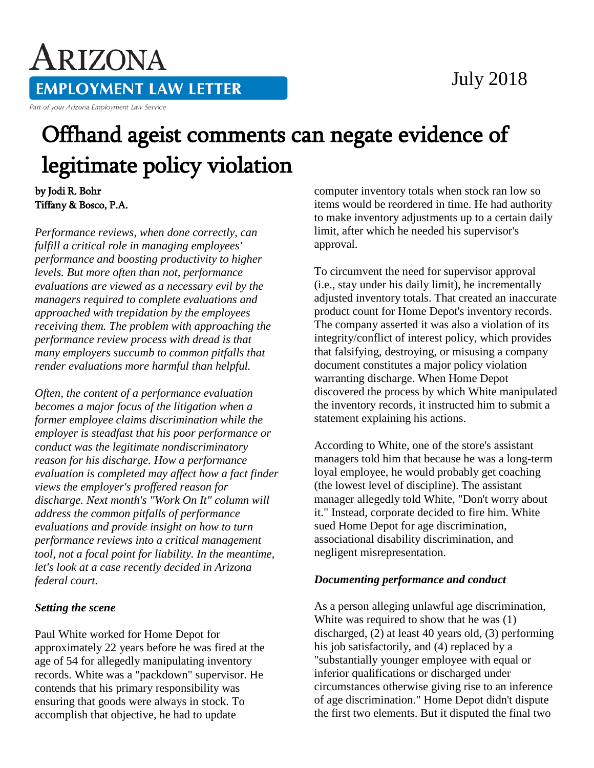### July 2018

# ARIZONA **EMPLOYMENT LAW LETTER**

Part of your Arizona Employment Law Service

## Offhand ageist comments can negate evidence of legitimate policy violation

#### by Jodi R. Bohr Tiffany & Bosco, P.A.

*Performance reviews, when done correctly, can fulfill a critical role in managing employees' performance and boosting productivity to higher levels. But more often than not, performance evaluations are viewed as a necessary evil by the managers required to complete evaluations and approached with trepidation by the employees receiving them. The problem with approaching the performance review process with dread is that many employers succumb to common pitfalls that render evaluations more harmful than helpful.*

*Often, the content of a performance evaluation becomes a major focus of the litigation when a former employee claims discrimination while the employer is steadfast that his poor performance or conduct was the legitimate nondiscriminatory reason for his discharge. How a performance evaluation is completed may affect how a fact finder views the employer's proffered reason for discharge. Next month's "Work On It" column will address the common pitfalls of performance evaluations and provide insight on how to turn performance reviews into a critical management tool, not a focal point for liability. In the meantime, let's look at a case recently decided in Arizona federal court.*

#### *Setting the scene*

Paul White worked for Home Depot for approximately 22 years before he was fired at the age of 54 for allegedly manipulating inventory records. White was a "packdown" supervisor. He contends that his primary responsibility was ensuring that goods were always in stock. To accomplish that objective, he had to update

computer inventory totals when stock ran low so items would be reordered in time. He had authority to make inventory adjustments up to a certain daily limit, after which he needed his supervisor's approval.

To circumvent the need for supervisor approval (i.e., stay under his daily limit), he incrementally adjusted inventory totals. That created an inaccurate product count for Home Depot's inventory records. The company asserted it was also a violation of its integrity/conflict of interest policy, which provides that falsifying, destroying, or misusing a company document constitutes a major policy violation warranting discharge. When Home Depot discovered the process by which White manipulated the inventory records, it instructed him to submit a statement explaining his actions.

According to White, one of the store's assistant managers told him that because he was a long-term loyal employee, he would probably get coaching (the lowest level of discipline). The assistant manager allegedly told White, "Don't worry about it." Instead, corporate decided to fire him. White sued Home Depot for age discrimination, associational disability discrimination, and negligent misrepresentation.

#### *Documenting performance and conduct*

As a person alleging unlawful age discrimination, White was required to show that he was (1) discharged, (2) at least 40 years old, (3) performing his job satisfactorily, and (4) replaced by a "substantially younger employee with equal or inferior qualifications or discharged under circumstances otherwise giving rise to an inference of age discrimination." Home Depot didn't dispute the first two elements. But it disputed the final two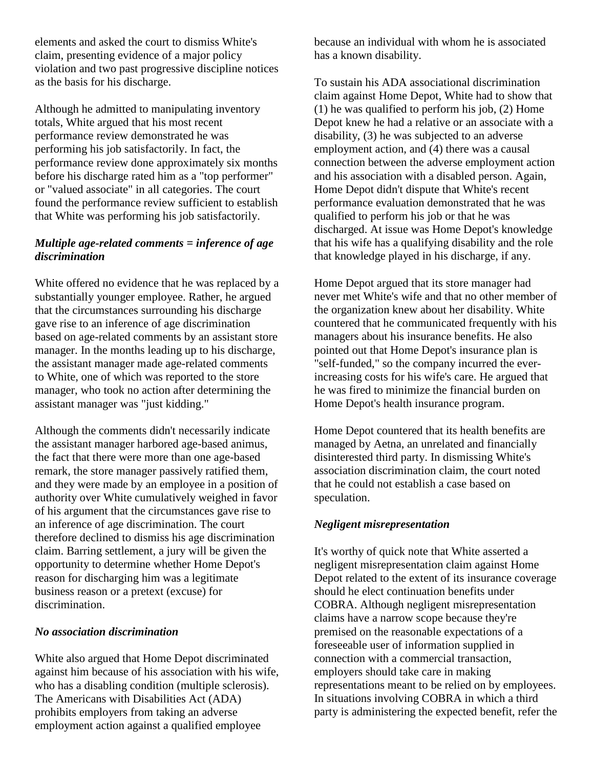elements and asked the court to dismiss White's claim, presenting evidence of a major policy violation and two past progressive discipline notices as the basis for his discharge.

Although he admitted to manipulating inventory totals, White argued that his most recent performance review demonstrated he was performing his job satisfactorily. In fact, the performance review done approximately six months before his discharge rated him as a "top performer" or "valued associate" in all categories. The court found the performance review sufficient to establish that White was performing his job satisfactorily.

#### *Multiple age-related comments = inference of age discrimination*

White offered no evidence that he was replaced by a substantially younger employee. Rather, he argued that the circumstances surrounding his discharge gave rise to an inference of age discrimination based on age-related comments by an assistant store manager. In the months leading up to his discharge, the assistant manager made age-related comments to White, one of which was reported to the store manager, who took no action after determining the assistant manager was "just kidding."

Although the comments didn't necessarily indicate the assistant manager harbored age-based animus, the fact that there were more than one age-based remark, the store manager passively ratified them, and they were made by an employee in a position of authority over White cumulatively weighed in favor of his argument that the circumstances gave rise to an inference of age discrimination. The court therefore declined to dismiss his age discrimination claim. Barring settlement, a jury will be given the opportunity to determine whether Home Depot's reason for discharging him was a legitimate business reason or a pretext (excuse) for discrimination.

#### *No association discrimination*

White also argued that Home Depot discriminated against him because of his association with his wife, who has a disabling condition (multiple sclerosis). The Americans with Disabilities Act (ADA) prohibits employers from taking an adverse employment action against a qualified employee

because an individual with whom he is associated has a known disability.

To sustain his ADA associational discrimination claim against Home Depot, White had to show that (1) he was qualified to perform his job, (2) Home Depot knew he had a relative or an associate with a disability, (3) he was subjected to an adverse employment action, and (4) there was a causal connection between the adverse employment action and his association with a disabled person. Again, Home Depot didn't dispute that White's recent performance evaluation demonstrated that he was qualified to perform his job or that he was discharged. At issue was Home Depot's knowledge that his wife has a qualifying disability and the role that knowledge played in his discharge, if any.

Home Depot argued that its store manager had never met White's wife and that no other member of the organization knew about her disability. White countered that he communicated frequently with his managers about his insurance benefits. He also pointed out that Home Depot's insurance plan is "self-funded," so the company incurred the everincreasing costs for his wife's care. He argued that he was fired to minimize the financial burden on Home Depot's health insurance program.

Home Depot countered that its health benefits are managed by Aetna, an unrelated and financially disinterested third party. In dismissing White's association discrimination claim, the court noted that he could not establish a case based on speculation.

#### *Negligent misrepresentation*

It's worthy of quick note that White asserted a negligent misrepresentation claim against Home Depot related to the extent of its insurance coverage should he elect continuation benefits under COBRA. Although negligent misrepresentation claims have a narrow scope because they're premised on the reasonable expectations of a foreseeable user of information supplied in connection with a commercial transaction, employers should take care in making representations meant to be relied on by employees. In situations involving COBRA in which a third party is administering the expected benefit, refer the